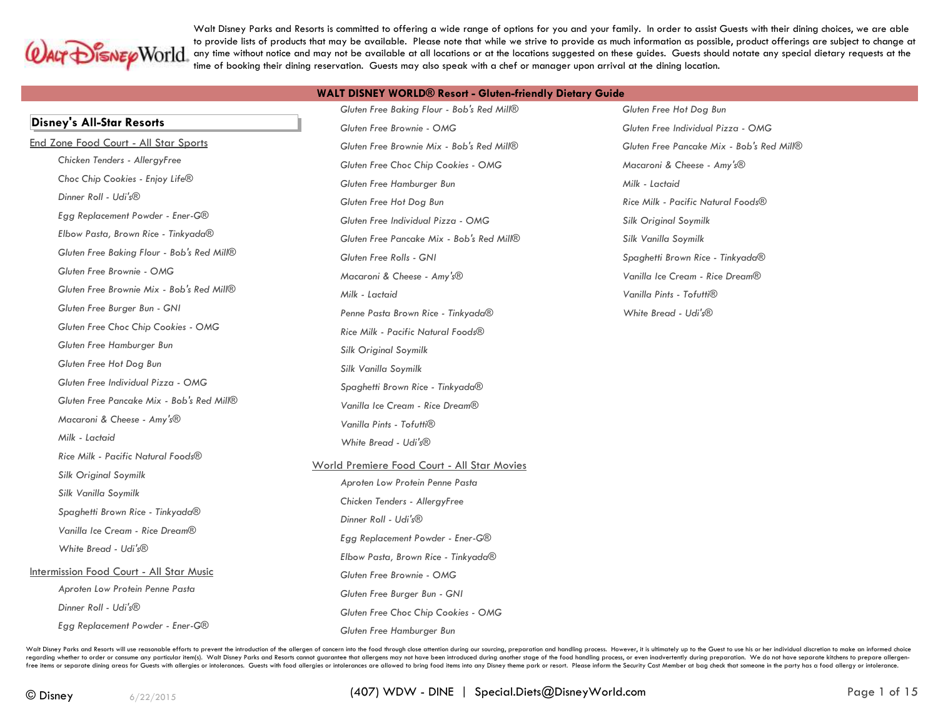

Walt Disney Parks and Resorts is committed to offering a wide range of options for you and your family. In order to assist Guests with their dining choices, we are able to provide lists of products that may be available. Please note that while we strive to provide as much information as possible, product offerings are subject to change at any time without notice and may not be available at all locations or at the locations suggested on these guides. Guests should notate any special dietary requests at the time of booking their dining reservation. Guests may also speak with a chef or manager upon arrival at the dining location.

|  | <b>WALT DISNEY WORLD® Resort - Gluten-friendly Dietary Guide</b> |  |
|--|------------------------------------------------------------------|--|
|--|------------------------------------------------------------------|--|

|                                                 | Gluten Free Baking Flour - Bob's Red Mill®                                     | Gluten Free Hot Dog Bun                   |
|-------------------------------------------------|--------------------------------------------------------------------------------|-------------------------------------------|
| <b>Disney's All-Star Resorts</b>                | Gluten Free Brownie - OMG                                                      | Gluten Free Individual Pizza - OMG        |
| End Zone Food Court - All Star Sports           | Gluten Free Brownie Mix - Bob's Red Mill®                                      | Gluten Free Pancake Mix - Bob's Red Mill® |
| Chicken Tenders - AllergyFree                   | Gluten Free Choc Chip Cookies - OMG                                            | Macaroni & Cheese - Amy's®                |
| Choc Chip Cookies - Enjoy Life®                 | Gluten Free Hamburger Bun                                                      | Milk - Lactaid                            |
| Dinner Roll - Udi's®                            | Gluten Free Hot Dog Bun                                                        | Rice Milk - Pacific Natural Foods®        |
| Egg Replacement Powder - Ener-G®                | Gluten Free Individual Pizza - OMG                                             | <b>Silk Original Soymilk</b>              |
| Elbow Pasta, Brown Rice - Tinkyada®             | Gluten Free Pancake Mix - Bob's Red Mill®                                      | Silk Vanilla Soymilk                      |
| Gluten Free Baking Flour - Bob's Red Mill®      | Gluten Free Rolls - GNI                                                        | Spaghetti Brown Rice - Tinkyada®          |
| Gluten Free Brownie - OMG                       | Macaroni & Cheese - Amy's®                                                     | Vanilla Ice Cream - Rice Dream®           |
| Gluten Free Brownie Mix - Bob's Red Mill®       | Milk - Lactaid                                                                 | Vanilla Pints - Tofutti <sup>®</sup>      |
| Gluten Free Burger Bun - GNI                    | Penne Pasta Brown Rice - Tinkyada®                                             | White Bread - Udi's®                      |
| Gluten Free Choc Chip Cookies - OMG             | Rice Milk - Pacific Natural Foods®                                             |                                           |
| Gluten Free Hamburger Bun                       | <b>Silk Original Soymilk</b>                                                   |                                           |
| Gluten Free Hot Dog Bun                         | Silk Vanilla Soymilk                                                           |                                           |
| Gluten Free Individual Pizza - OMG              | Spaghetti Brown Rice - Tinkyada®                                               |                                           |
| Gluten Free Pancake Mix - Bob's Red Mill®       | Vanilla Ice Cream - Rice Dream®                                                |                                           |
| Macaroni & Cheese - Amy's®                      | Vanilla Pints - Tofutti <sup>®</sup>                                           |                                           |
| Milk - Lactaid                                  | White Bread - Udi's®                                                           |                                           |
| Rice Milk - Pacific Natural Foods®              |                                                                                |                                           |
| <b>Silk Original Soymilk</b>                    | World Premiere Food Court - All Star Movies<br>Aproten Low Protein Penne Pasta |                                           |
| Silk Vanilla Soymilk                            | Chicken Tenders - AllergyFree                                                  |                                           |
| Spaghetti Brown Rice - Tinkyada®                | Dinner Roll - Udi's®                                                           |                                           |
| Vanilla Ice Cream - Rice Dream®                 | Egg Replacement Powder - Ener-G®                                               |                                           |
| White Bread - Udi's®                            | Elbow Pasta, Brown Rice - Tinkyada®                                            |                                           |
| <b>Intermission Food Court - All Star Music</b> | Gluten Free Brownie - OMG                                                      |                                           |
| Aproten Low Protein Penne Pasta                 | Gluten Free Burger Bun - GNI                                                   |                                           |
| Dinner Roll - Udi's®                            | Gluten Free Choc Chip Cookies - OMG                                            |                                           |
| Egg Replacement Powder - Ener-G®                | Gluten Free Hamburaer Bun                                                      |                                           |
|                                                 |                                                                                |                                           |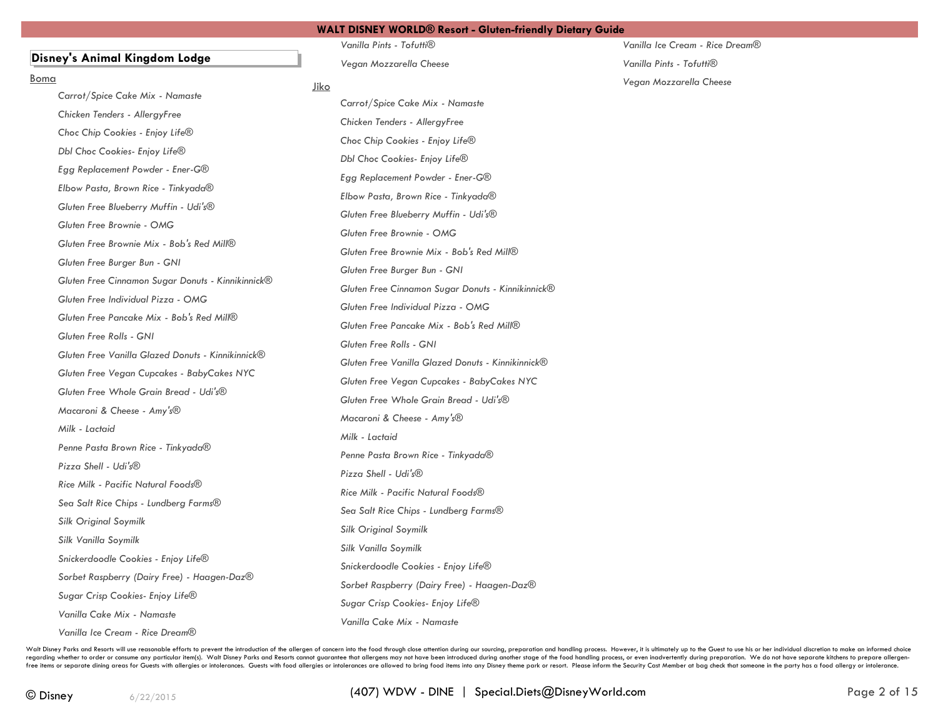### **Disney's Animal Kingdom Lodge**

#### Boma

*Carrot/Spice Cake Mix - Namaste Chicken Tenders - AllergyFree Choc Chip Cookies - Enjoy Life® Dbl Choc Cookies- Enjoy Life® Egg Replacement Powder - Ener-G® Elbow Pasta, Brown Rice - Tinkyada® Gluten Free Blueberry Muffin - Udi's® Gluten Free Brownie - OMG Gluten Free Brownie Mix - Bob's Red Mill® Gluten Free Burger Bun - GNI Gluten Free Cinnamon Sugar Donuts - Kinnikinnick® Gluten Free Individual Pizza - OMG Gluten Free Pancake Mix - Bob's Red Mill® Gluten Free Rolls - GNI Gluten Free Vanilla Glazed Donuts - Kinnikinnick® Gluten Free Vegan Cupcakes - BabyCakes NYC Gluten Free Whole Grain Bread - Udi's® Macaroni & Cheese - Amy's® Milk - Lactaid Penne Pasta Brown Rice - Tinkyada® Pizza Shell - Udi's® Rice Milk - Pacific Natural Foods® Sea Salt Rice Chips - Lundberg Farms® Silk Original Soymilk Silk Vanilla Soymilk Snickerdoodle Cookies - Enjoy Life® Sorbet Raspberry (Dairy Free) - Haagen-Daz® Sugar Crisp Cookies- Enjoy Life® Vanilla Cake Mix - Namaste Vanilla Ice Cream - Rice Dream®*

*Vanilla Pints - Tofutti® Vegan Mozzarella Cheese*

### Jiko

*Carrot/Spice Cake Mix - Namaste Chicken Tenders - AllergyFree Choc Chip Cookies - Enjoy Life® Dbl Choc Cookies- Enjoy Life® Egg Replacement Powder - Ener-G® Elbow Pasta, Brown Rice - Tinkyada® Gluten Free Blueberry Muffin - Udi's® Gluten Free Brownie - OMG Gluten Free Brownie Mix - Bob's Red Mill® Gluten Free Burger Bun - GNI Gluten Free Cinnamon Sugar Donuts - Kinnikinnick® Gluten Free Individual Pizza - OMG Gluten Free Pancake Mix - Bob's Red Mill® Gluten Free Rolls - GNI Gluten Free Vanilla Glazed Donuts - Kinnikinnick® Gluten Free Vegan Cupcakes - BabyCakes NYC Gluten Free Whole Grain Bread - Udi's® Macaroni & Cheese - Amy's® Milk - Lactaid Penne Pasta Brown Rice - Tinkyada® Pizza Shell - Udi's® Rice Milk - Pacific Natural Foods® Sea Salt Rice Chips - Lundberg Farms® Silk Original Soymilk Silk Vanilla Soymilk Snickerdoodle Cookies - Enjoy Life® Sorbet Raspberry (Dairy Free) - Haagen-Daz® Sugar Crisp Cookies- Enjoy Life® Vanilla Cake Mix - Namaste*

*Vanilla Ice Cream - Rice Dream® Vanilla Pints - Tofutti® Vegan Mozzarella Cheese*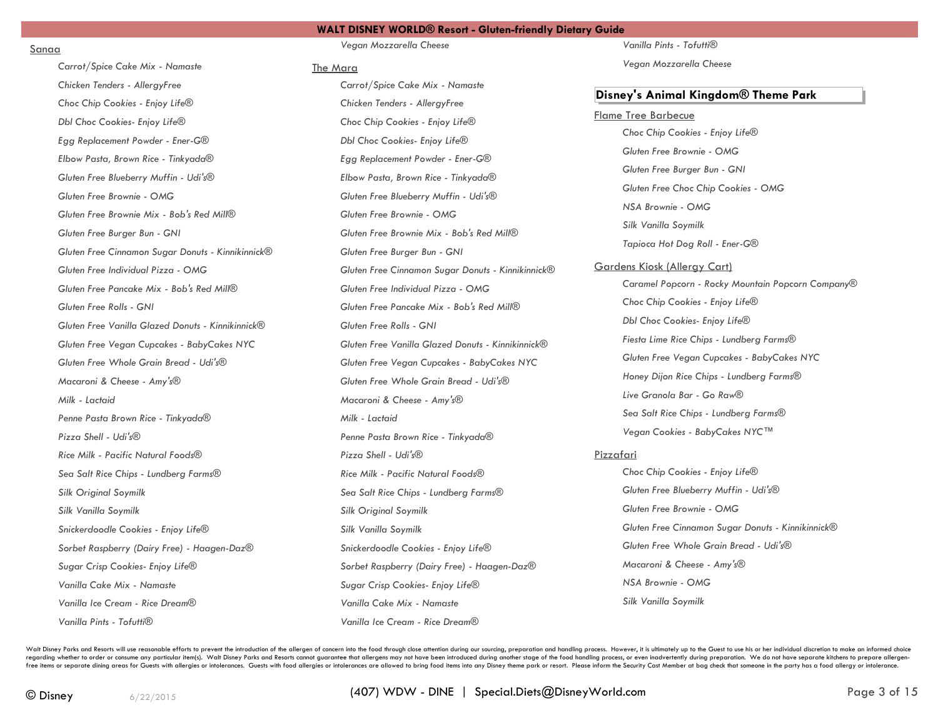### Sanaa

*Carrot/Spice Cake Mix - Namaste Chicken Tenders - AllergyFree Choc Chip Cookies - Enjoy Life® Dbl Choc Cookies- Enjoy Life® Egg Replacement Powder - Ener-G® Elbow Pasta, Brown Rice - Tinkyada® Gluten Free Blueberry Muffin - Udi's®*

*Gluten Free Brownie - OMG*

*Gluten Free Burger Bun - GNI*

*Gluten Free Rolls - GNI*

*Macaroni & Cheese - Amy's®*

*Penne Pasta Brown Rice - Tinkyada®*

*Rice Milk - Pacific Natural Foods® Sea Salt Rice Chips - Lundberg Farms®*

*Snickerdoodle Cookies - Enjoy Life®*

*Sugar Crisp Cookies- Enjoy Life® Vanilla Cake Mix - Namaste Vanilla Ice Cream - Rice Dream®*

*Sorbet Raspberry (Dairy Free) - Haagen-Daz®*

*Milk - Lactaid*

*Pizza Shell - Udi's®*

*Silk Original Soymilk Silk Vanilla Soymilk*

*Gluten Free Individual Pizza - OMG Gluten Free Pancake Mix - Bob's Red Mill®*

*Gluten Free Brownie Mix - Bob's Red Mill®*

*Gluten Free Cinnamon Sugar Donuts - Kinnikinnick®*

*Gluten Free Vanilla Glazed Donuts - Kinnikinnick® Gluten Free Vegan Cupcakes - BabyCakes NYC Gluten Free Whole Grain Bread - Udi's®*

**WALT DISNEY WORLD® Resort - Gluten-friendly Dietary Guide**

*Vegan Mozzarella Cheese*

#### The Mara

*Carrot/Spice Cake Mix - Namaste Chicken Tenders - AllergyFree Choc Chip Cookies - Enjoy Life® Dbl Choc Cookies- Enjoy Life® Egg Replacement Powder - Ener-G® Elbow Pasta, Brown Rice - Tinkyada® Gluten Free Blueberry Muffin - Udi's® Gluten Free Brownie - OMG Gluten Free Brownie Mix - Bob's Red Mill® Gluten Free Burger Bun - GNI Gluten Free Cinnamon Sugar Donuts - Kinnikinnick® Gluten Free Individual Pizza - OMG Gluten Free Pancake Mix - Bob's Red Mill® Gluten Free Rolls - GNI Gluten Free Vanilla Glazed Donuts - Kinnikinnick® Gluten Free Vegan Cupcakes - BabyCakes NYC Gluten Free Whole Grain Bread - Udi's® Macaroni & Cheese - Amy's® Milk - Lactaid Penne Pasta Brown Rice - Tinkyada® Pizza Shell - Udi's® Rice Milk - Pacific Natural Foods® Sea Salt Rice Chips - Lundberg Farms® Silk Original Soymilk Silk Vanilla Soymilk Snickerdoodle Cookies - Enjoy Life® Sorbet Raspberry (Dairy Free) - Haagen-Daz® Sugar Crisp Cookies- Enjoy Life® Vanilla Cake Mix - Namaste Vanilla Ice Cream - Rice Dream®*

*Vanilla Pints - Tofutti®*

*Vegan Mozzarella Cheese*

### **Disney's Animal Kingdom® Theme Park**

### Flame Tree Barbecue

*Choc Chip Cookies - Enjoy Life® Gluten Free Brownie - OMG Gluten Free Burger Bun - GNI Gluten Free Choc Chip Cookies - OMG NSA Brownie - OMG Silk Vanilla Soymilk Tapioca Hot Dog Roll - Ener-G®* Gardens Kiosk (Allergy Cart) *Caramel Popcorn - Rocky Mountain Popcorn Company® Choc Chip Cookies - Enjoy Life® Dbl Choc Cookies- Enjoy Life® Fiesta Lime Rice Chips - Lundberg Farms® Gluten Free Vegan Cupcakes - BabyCakes NYC Honey Dijon Rice Chips - Lundberg Farms® Live Granola Bar - Go Raw® Sea Salt Rice Chips - Lundberg Farms® Vegan Cookies - BabyCakes NYC™*

### Pizzafari

*Choc Chip Cookies - Enjoy Life® Gluten Free Blueberry Muffin - Udi's® Gluten Free Brownie - OMG Gluten Free Cinnamon Sugar Donuts - Kinnikinnick® Gluten Free Whole Grain Bread - Udi's® Macaroni & Cheese - Amy's® NSA Brownie - OMG Silk Vanilla Soymilk*

Walt Disney Parks and Resorts will use reasonable efforts to prevent the introduction of the allergen of concern into the food through close attention during our sourcing, preparation and handling process. However, it is u regarding whether to order or consume any particular item(s). Walt Disney Parks and Resorts cannot guarantee that allergens may not have been introduced during another stage of the food handling process, or even inadverten free items or separate dining areas for Guests with allergies or intolerances. Guests with food allergies or intolerances with food allergies or intolerances are allowed to bring food items into any Disney theme park or re

*Vanilla Pints - Tofutti®*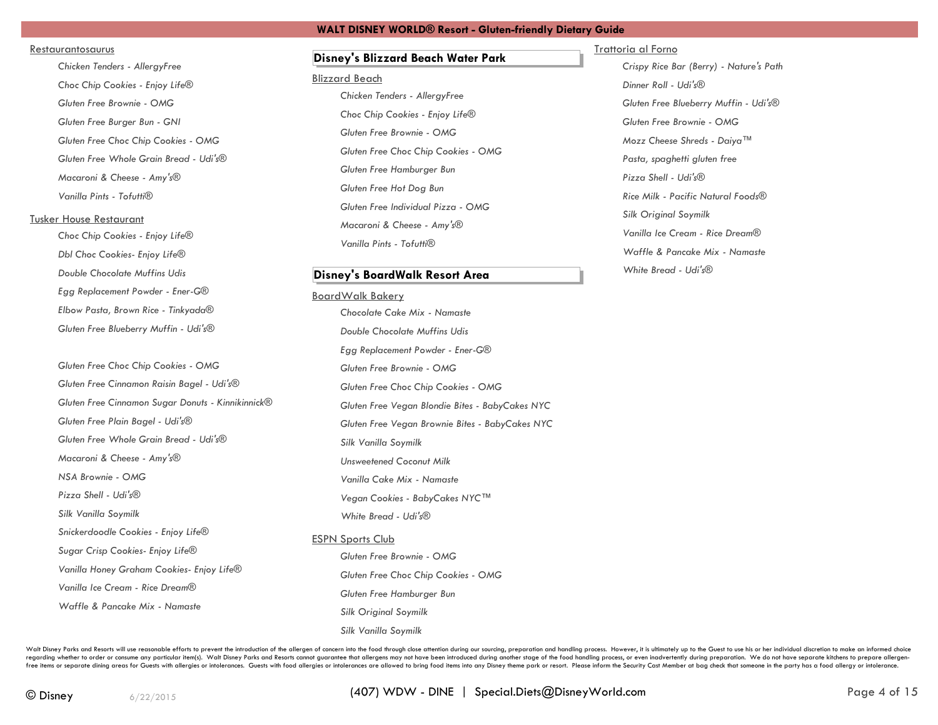### Restaurantosaurus

*Chicken Tenders - AllergyFree Choc Chip Cookies - Enjoy Life® Gluten Free Brownie - OMG Gluten Free Burger Bun - GNI Gluten Free Choc Chip Cookies - OMG Gluten Free Whole Grain Bread - Udi's® Macaroni & Cheese - Amy's® Vanilla Pints - Tofutti®*

# Tusker House Restaurant

*Choc Chip Cookies - Enjoy Life® Dbl Choc Cookies- Enjoy Life® Double Chocolate Muffins Udis Egg Replacement Powder - Ener-G® Elbow Pasta, Brown Rice - Tinkyada® Gluten Free Blueberry Muffin - Udi's®*

*Gluten Free Choc Chip Cookies - OMG Gluten Free Cinnamon Raisin Bagel - Udi's® Gluten Free Cinnamon Sugar Donuts - Kinnikinnick® Gluten Free Plain Bagel - Udi's® Gluten Free Whole Grain Bread - Udi's® Macaroni & Cheese - Amy's® NSA Brownie - OMG Pizza Shell - Udi's® Silk Vanilla Soymilk Snickerdoodle Cookies - Enjoy Life® Sugar Crisp Cookies- Enjoy Life® Vanilla Honey Graham Cookies- Enjoy Life® Vanilla Ice Cream - Rice Dream® Waffle & Pancake Mix - Namaste*

# **Disney's Blizzard Beach Water Park**

### Blizzard Beach

*Chicken Tenders - AllergyFree Choc Chip Cookies - Enjoy Life® Gluten Free Brownie - OMG Gluten Free Choc Chip Cookies - OMG Gluten Free Hamburger Bun Gluten Free Hot Dog Bun Gluten Free Individual Pizza - OMG Macaroni & Cheese - Amy's® Vanilla Pints - Tofutti®*

### **Disney's BoardWalk Resort Area**

# BoardWalk Bakery

*Chocolate Cake Mix - Namaste Double Chocolate Muffins Udis Egg Replacement Powder - Ener-G® Gluten Free Brownie - OMG Gluten Free Choc Chip Cookies - OMG Gluten Free Vegan Blondie Bites - BabyCakes NYC Gluten Free Vegan Brownie Bites - BabyCakes NYC Silk Vanilla Soymilk Unsweetened Coconut Milk Vanilla Cake Mix - Namaste Vegan Cookies - BabyCakes NYC™ White Bread - Udi's®* ESPN Sports Club

> *Gluten Free Brownie - OMG Gluten Free Choc Chip Cookies - OMG Gluten Free Hamburger Bun Silk Original Soymilk Silk Vanilla Soymilk*

### Trattoria al Forno

*Crispy Rice Bar (Berry) - Nature's Path Dinner Roll - Udi's® Gluten Free Blueberry Muffin - Udi's® Gluten Free Brownie - OMG Mozz Cheese Shreds - Daiya™ Pasta, spaghetti gluten free Pizza Shell - Udi's® Rice Milk - Pacific Natural Foods® Silk Original Soymilk Vanilla Ice Cream - Rice Dream® Waffle & Pancake Mix - Namaste White Bread - Udi's®*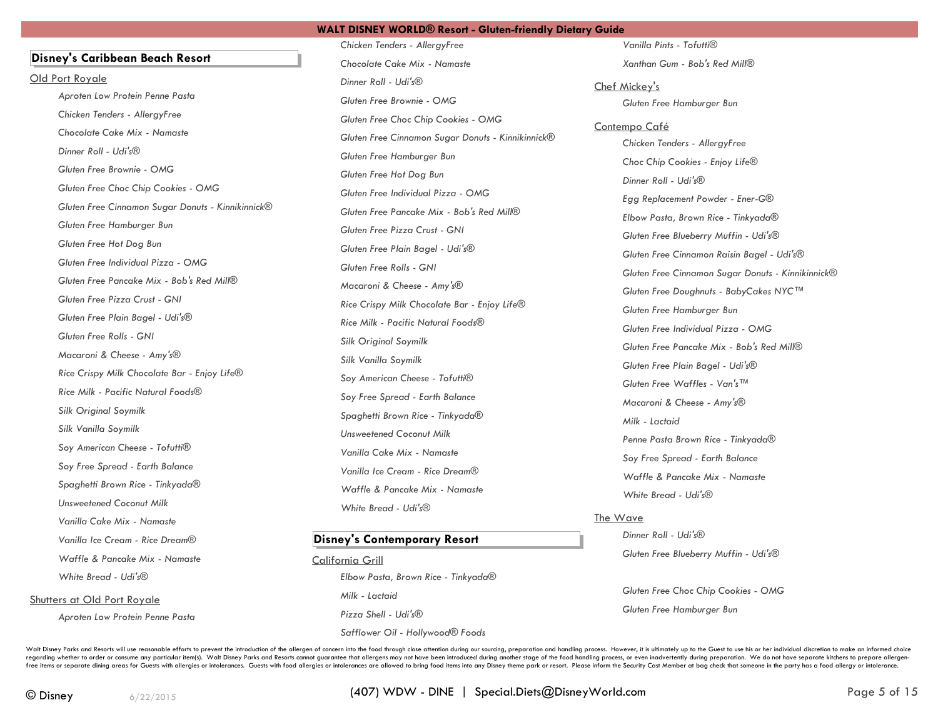*Chicken Tenders - AllergyFree*

# **Disney's Caribbean Beach Resort**

Old Port Royale

*Aproten Low Protein Penne Pasta Chicken Tenders - AllergyFree Chocolate Cake Mix - Namaste Dinner Roll - Udi's® Gluten Free Brownie - OMG Gluten Free Choc Chip Cookies - OMG Gluten Free Cinnamon Sugar Donuts - Kinnikinnick® Gluten Free Hamburger Bun Gluten Free Hot Dog Bun Gluten Free Individual Pizza - OMG Gluten Free Pancake Mix - Bob's Red Mill® Gluten Free Pizza Crust - GNI Gluten Free Plain Bagel - Udi's® Gluten Free Rolls - GNI Macaroni & Cheese - Amy's® Rice Crispy Milk Chocolate Bar - Enjoy Life® Rice Milk - Pacific Natural Foods® Silk Original Soymilk Silk Vanilla Soymilk Soy American Cheese - Tofutti® Soy Free Spread - Earth Balance Spaghetti Brown Rice - Tinkyada® Unsweetened Coconut Milk Vanilla Cake Mix - Namaste Vanilla Ice Cream - Rice Dream® Waffle & Pancake Mix - Namaste White Bread - Udi's®* Shutters at Old Port Royale *Aproten Low Protein Penne Pasta*

*Chocolate Cake Mix - Namaste Dinner Roll - Udi's® Gluten Free Brownie - OMG Gluten Free Choc Chip Cookies - OMG Gluten Free Cinnamon Sugar Donuts - Kinnikinnick® Gluten Free Hamburger Bun Gluten Free Hot Dog Bun Gluten Free Individual Pizza - OMG Gluten Free Pancake Mix - Bob's Red Mill® Gluten Free Pizza Crust - GNI Gluten Free Plain Bagel - Udi's® Gluten Free Rolls - GNI Macaroni & Cheese - Amy's® Rice Crispy Milk Chocolate Bar - Enjoy Life® Rice Milk - Pacific Natural Foods® Silk Original Soymilk Silk Vanilla Soymilk Soy American Cheese - Tofutti® Soy Free Spread - Earth Balance Spaghetti Brown Rice - Tinkyada® Unsweetened Coconut Milk Vanilla Cake Mix - Namaste Vanilla Ice Cream - Rice Dream® Waffle & Pancake Mix - Namaste White Bread - Udi's®*

# **Disney's Contemporary Resort**

California Grill *Elbow Pasta, Brown Rice - Tinkyada® Milk - Lactaid Pizza Shell - Udi's® Safflower Oil - Hollywood® Foods*

*Vanilla Pints - Tofutti® Xanthan Gum - Bob's Red Mill®*

Chef Mickey's *Gluten Free Hamburger Bun*

### Contempo Café

*Chicken Tenders - AllergyFree Choc Chip Cookies - Enjoy Life® Dinner Roll - Udi's® Egg Replacement Powder - Ener-G® Elbow Pasta, Brown Rice - Tinkyada® Gluten Free Blueberry Muffin - Udi's® Gluten Free Cinnamon Raisin Bagel - Udi's® Gluten Free Cinnamon Sugar Donuts - Kinnikinnick® Gluten Free Doughnuts - BabyCakes NYC™ Gluten Free Hamburger Bun Gluten Free Individual Pizza - OMG Gluten Free Pancake Mix - Bob's Red Mill® Gluten Free Plain Bagel - Udi's® Gluten Free Waffles - Van's™ Macaroni & Cheese - Amy's® Milk - Lactaid Penne Pasta Brown Rice - Tinkyada® Soy Free Spread - Earth Balance Waffle & Pancake Mix - Namaste White Bread - Udi's®*

### The Wave

*Dinner Roll - Udi's® Gluten Free Blueberry Muffin - Udi's®*

*Gluten Free Choc Chip Cookies - OMG Gluten Free Hamburger Bun*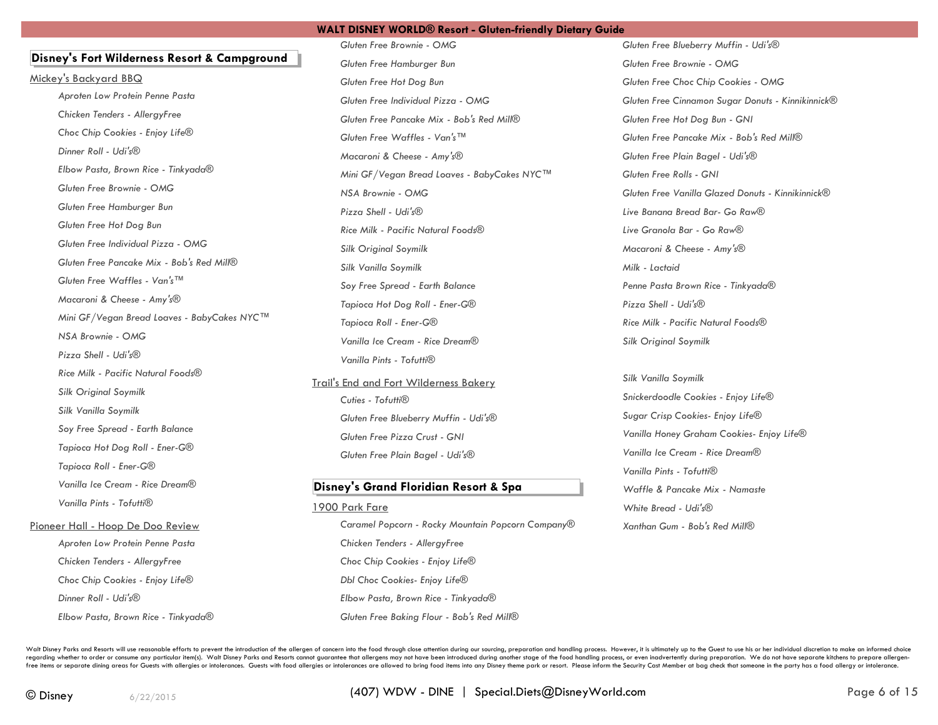# **Disney's Fort Wilderness Resort & Campground**

Mickey's Backyard BBQ *Aproten Low Protein Penne Pasta Chicken Tenders - AllergyFree Choc Chip Cookies - Enjoy Life® Dinner Roll - Udi's® Elbow Pasta, Brown Rice - Tinkyada® Gluten Free Brownie - OMG Gluten Free Hamburger Bun Gluten Free Hot Dog Bun Gluten Free Individual Pizza - OMG Gluten Free Pancake Mix - Bob's Red Mill® Gluten Free Waffles - Van's™ Macaroni & Cheese - Amy's® Mini GF/Vegan Bread Loaves - BabyCakes NYC™ NSA Brownie - OMG Pizza Shell - Udi's® Rice Milk - Pacific Natural Foods® Silk Original Soymilk Silk Vanilla Soymilk Soy Free Spread - Earth Balance Tapioca Hot Dog Roll - Ener-G® Tapioca Roll - Ener-G® Vanilla Ice Cream - Rice Dream® Vanilla Pints - Tofutti®* Pioneer Hall - Hoop De Doo Review *Aproten Low Protein Penne Pasta Chicken Tenders - AllergyFree*

*Choc Chip Cookies - Enjoy Life® Dinner Roll - Udi's® Elbow Pasta, Brown Rice - Tinkyada®*

*Gluten Free Brownie - OMG Gluten Free Hamburger Bun Gluten Free Hot Dog Bun Gluten Free Individual Pizza - OMG Gluten Free Pancake Mix - Bob's Red Mill® Gluten Free Waffles - Van's™ Macaroni & Cheese - Amy's® Mini GF/Vegan Bread Loaves - BabyCakes NYC™ NSA Brownie - OMG Pizza Shell - Udi's® Rice Milk - Pacific Natural Foods® Silk Original Soymilk Silk Vanilla Soymilk Soy Free Spread - Earth Balance Tapioca Hot Dog Roll - Ener-G® Tapioca Roll - Ener-G® Vanilla Ice Cream - Rice Dream® Vanilla Pints - Tofutti®*

Trail's End and Fort Wilderness Bakery *Cuties - Tofutti® Gluten Free Blueberry Muffin - Udi's® Gluten Free Pizza Crust - GNI Gluten Free Plain Bagel - Udi's®*

# **Disney's Grand Floridian Resort & Spa**

1900 Park Fare

*Caramel Popcorn - Rocky Mountain Popcorn Company® Chicken Tenders - AllergyFree Choc Chip Cookies - Enjoy Life® Dbl Choc Cookies- Enjoy Life® Elbow Pasta, Brown Rice - Tinkyada® Gluten Free Baking Flour - Bob's Red Mill®*

*Gluten Free Blueberry Muffin - Udi's® Gluten Free Brownie - OMG Gluten Free Choc Chip Cookies - OMG Gluten Free Cinnamon Sugar Donuts - Kinnikinnick® Gluten Free Hot Dog Bun - GNI Gluten Free Pancake Mix - Bob's Red Mill® Gluten Free Plain Bagel - Udi's® Gluten Free Rolls - GNI Gluten Free Vanilla Glazed Donuts - Kinnikinnick® Live Banana Bread Bar- Go Raw® Live Granola Bar - Go Raw® Macaroni & Cheese - Amy's® Milk - Lactaid Penne Pasta Brown Rice - Tinkyada® Pizza Shell - Udi's® Rice Milk - Pacific Natural Foods® Silk Original Soymilk*

*Silk Vanilla Soymilk Snickerdoodle Cookies - Enjoy Life® Sugar Crisp Cookies- Enjoy Life® Vanilla Honey Graham Cookies- Enjoy Life® Vanilla Ice Cream - Rice Dream® Vanilla Pints - Tofutti® Waffle & Pancake Mix - Namaste White Bread - Udi's® Xanthan Gum - Bob's Red Mill®*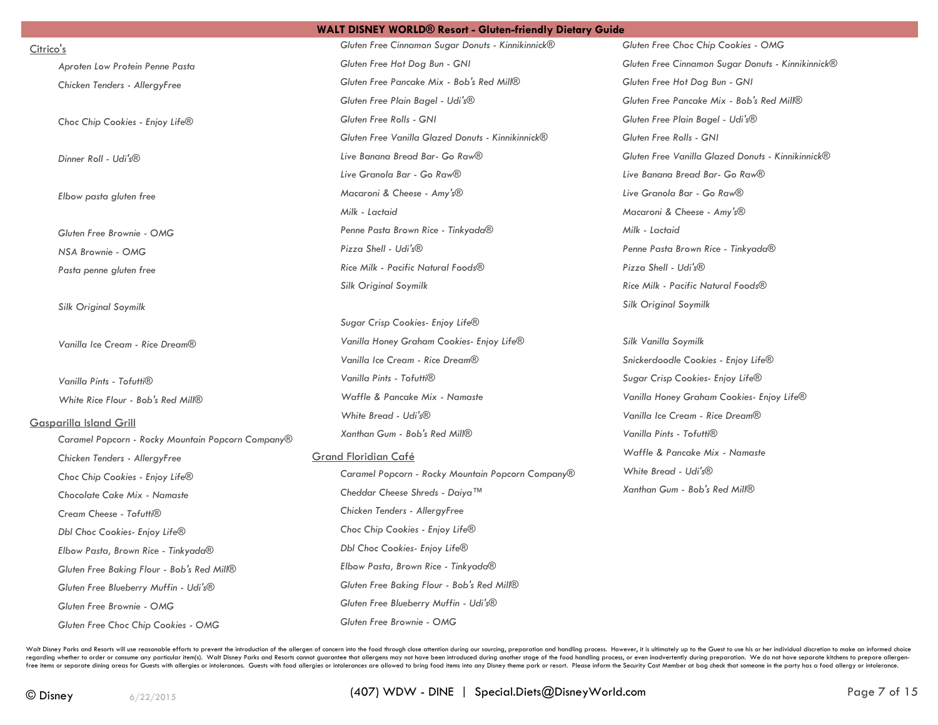Citrico's

*Aproten Low Protein Penne Pasta Chicken Tenders - AllergyFree*

*Choc Chip Cookies - Enjoy Life®*

*Dinner Roll - Udi's®*

*Elbow pasta gluten free*

*Gluten Free Brownie - OMG NSA Brownie - OMG*

*Pasta penne gluten free*

*Silk Original Soymilk*

*Vanilla Ice Cream - Rice Dream®*

*Vanilla Pints - Tofutti® White Rice Flour - Bob's Red Mill®*

### Gasparilla Island Grill

*Caramel Popcorn - Rocky Mountain Popcorn Company® Chicken Tenders - AllergyFree Choc Chip Cookies - Enjoy Life® Chocolate Cake Mix - Namaste Cream Cheese - Tofutti® Dbl Choc Cookies- Enjoy Life® Elbow Pasta, Brown Rice - Tinkyada® Gluten Free Baking Flour - Bob's Red Mill® Gluten Free Blueberry Muffin - Udi's® Gluten Free Brownie - OMG Gluten Free Choc Chip Cookies - OMG*

*Gluten Free Cinnamon Sugar Donuts - Kinnikinnick® Gluten Free Hot Dog Bun - GNI Gluten Free Pancake Mix - Bob's Red Mill® Gluten Free Plain Bagel - Udi's® Gluten Free Rolls - GNI Gluten Free Vanilla Glazed Donuts - Kinnikinnick® Live Banana Bread Bar- Go Raw® Live Granola Bar - Go Raw® Macaroni & Cheese - Amy's® Milk - Lactaid Penne Pasta Brown Rice - Tinkyada® Pizza Shell - Udi's® Rice Milk - Pacific Natural Foods® Silk Original Soymilk*

*Sugar Crisp Cookies- Enjoy Life® Vanilla Honey Graham Cookies- Enjoy Life® Vanilla Ice Cream - Rice Dream® Vanilla Pints - Tofutti® Waffle & Pancake Mix - Namaste White Bread - Udi's® Xanthan Gum - Bob's Red Mill®*

### Grand Floridian Café

*Caramel Popcorn - Rocky Mountain Popcorn Company® Cheddar Cheese Shreds - Daiya™ Chicken Tenders - AllergyFree Choc Chip Cookies - Enjoy Life® Dbl Choc Cookies- Enjoy Life® Elbow Pasta, Brown Rice - Tinkyada® Gluten Free Baking Flour - Bob's Red Mill® Gluten Free Blueberry Muffin - Udi's® Gluten Free Brownie - OMG*

*Gluten Free Choc Chip Cookies - OMG Gluten Free Cinnamon Sugar Donuts - Kinnikinnick® Gluten Free Hot Dog Bun - GNI Gluten Free Pancake Mix - Bob's Red Mill® Gluten Free Plain Bagel - Udi's® Gluten Free Rolls - GNI Gluten Free Vanilla Glazed Donuts - Kinnikinnick® Live Banana Bread Bar- Go Raw® Live Granola Bar - Go Raw® Macaroni & Cheese - Amy's® Milk - Lactaid Penne Pasta Brown Rice - Tinkyada® Pizza Shell - Udi's® Rice Milk - Pacific Natural Foods® Silk Original Soymilk*

*Silk Vanilla Soymilk Snickerdoodle Cookies - Enjoy Life® Sugar Crisp Cookies- Enjoy Life® Vanilla Honey Graham Cookies- Enjoy Life® Vanilla Ice Cream - Rice Dream® Vanilla Pints - Tofutti® Waffle & Pancake Mix - Namaste White Bread - Udi's® Xanthan Gum - Bob's Red Mill®*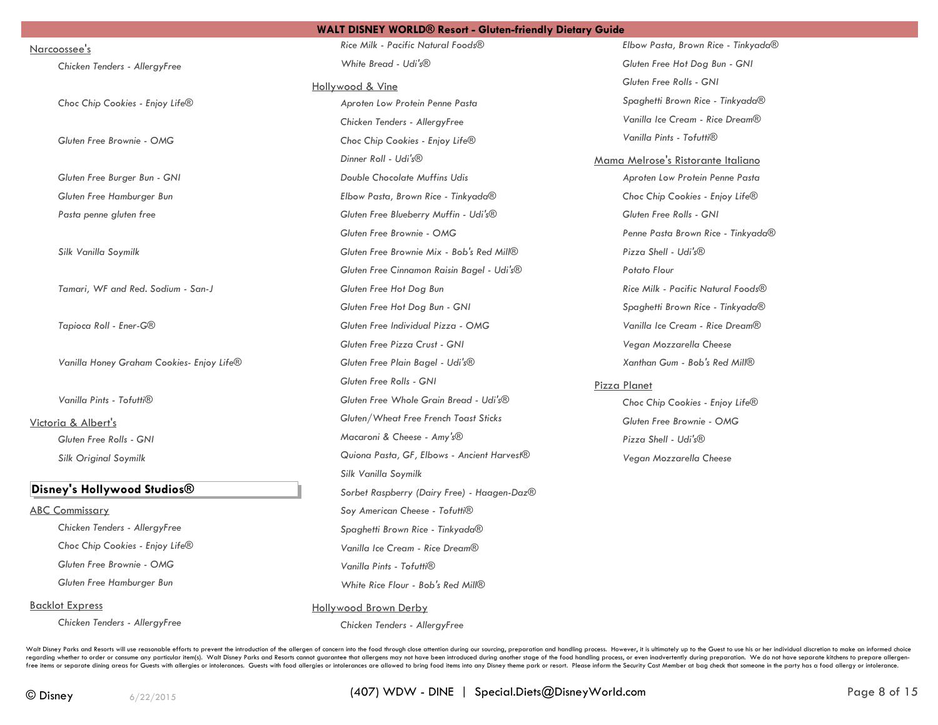Narcoossee's

*Chicken Tenders - AllergyFree*

*Choc Chip Cookies - Enjoy Life®*

*Gluten Free Brownie - OMG*

*Gluten Free Burger Bun - GNI*

*Gluten Free Hamburger Bun*

*Pasta penne gluten free*

*Silk Vanilla Soymilk*

*Tamari, WF and Red. Sodium - San-J*

*Tapioca Roll - Ener-G®*

*Vanilla Honey Graham Cookies- Enjoy Life®*

*Vanilla Pints - Tofutti®*

Victoria & Albert's *Gluten Free Rolls - GNI Silk Original Soymilk*

### **Disney's Hollywood Studios®**

ABC Commissary *Chicken Tenders - AllergyFree Choc Chip Cookies - Enjoy Life® Gluten Free Brownie - OMG Gluten Free Hamburger Bun*

Backlot Express

*Chicken Tenders - AllergyFree*

*Rice Milk - Pacific Natural Foods® White Bread - Udi's®*

Hollywood & Vine

*Aproten Low Protein Penne Pasta Chicken Tenders - AllergyFree Choc Chip Cookies - Enjoy Life® Dinner Roll - Udi's® Double Chocolate Muffins Udis Elbow Pasta, Brown Rice - Tinkyada® Gluten Free Blueberry Muffin - Udi's® Gluten Free Brownie - OMG Gluten Free Brownie Mix - Bob's Red Mill® Gluten Free Cinnamon Raisin Bagel - Udi's® Gluten Free Hot Dog Bun Gluten Free Hot Dog Bun - GNI Gluten Free Individual Pizza - OMG Gluten Free Pizza Crust - GNI Gluten Free Plain Bagel - Udi's® Gluten Free Rolls - GNI Gluten Free Whole Grain Bread - Udi's® Gluten/Wheat Free French Toast Sticks Macaroni & Cheese - Amy's® Quiona Pasta, GF, Elbows - Ancient Harvest® Silk Vanilla Soymilk Sorbet Raspberry (Dairy Free) - Haagen-Daz® Soy American Cheese - Tofutti® Spaghetti Brown Rice - Tinkyada® Vanilla Ice Cream - Rice Dream® Vanilla Pints - Tofutti® White Rice Flour - Bob's Red Mill®*

*Elbow Pasta, Brown Rice - Tinkyada® Gluten Free Hot Dog Bun - GNI Gluten Free Rolls - GNI Spaghetti Brown Rice - Tinkyada® Vanilla Ice Cream - Rice Dream® Vanilla Pints - Tofutti®*

Mama Melrose's Ristorante Italiano *Aproten Low Protein Penne Pasta Choc Chip Cookies - Enjoy Life® Gluten Free Rolls - GNI Penne Pasta Brown Rice - Tinkyada® Pizza Shell - Udi's® Potato Flour Rice Milk - Pacific Natural Foods® Spaghetti Brown Rice - Tinkyada® Vanilla Ice Cream - Rice Dream® Vegan Mozzarella Cheese Xanthan Gum - Bob's Red Mill®*

# Pizza Planet

*Choc Chip Cookies - Enjoy Life® Gluten Free Brownie - OMG Pizza Shell - Udi's® Vegan Mozzarella Cheese*

Walt Disney Parks and Resorts will use reasonable efforts to prevent the introduction of the allergen of concern into the food through close attention during our sourcing, preparation and handling process. However, it is u regarding whether to order or consume any particular item(s). Walt Disney Parks and Resorts cannot guarantee that allergens may not have been introduced during another stage of the food handling process, or even inadverten free items or separate dining areas for Guests with allergies or intolerances. Guests with food allergies or intolerances with food allergies or intolerances are allowed to bring food items into any Disney theme park or re

Hollywood Brown Derby

*Chicken Tenders - AllergyFree*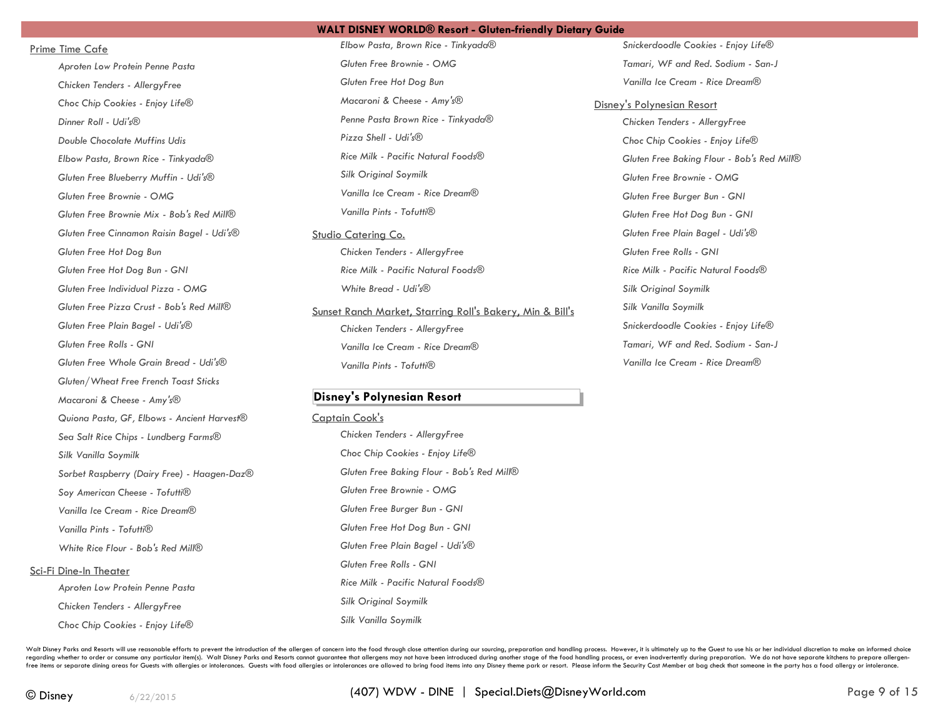### Prime Time Cafe

*Aproten Low Protein Penne Pasta Chicken Tenders - AllergyFree Choc Chip Cookies - Enjoy Life® Dinner Roll - Udi's® Double Chocolate Muffins Udis Elbow Pasta, Brown Rice - Tinkyada® Gluten Free Blueberry Muffin - Udi's® Gluten Free Brownie - OMG Gluten Free Brownie Mix - Bob's Red Mill® Gluten Free Cinnamon Raisin Bagel - Udi's® Gluten Free Hot Dog Bun Gluten Free Hot Dog Bun - GNI Gluten Free Individual Pizza - OMG Gluten Free Pizza Crust - Bob's Red Mill® Gluten Free Plain Bagel - Udi's® Gluten Free Rolls - GNI Gluten Free Whole Grain Bread - Udi's® Gluten/Wheat Free French Toast Sticks Macaroni & Cheese - Amy's® Quiona Pasta, GF, Elbows - Ancient Harvest® Sea Salt Rice Chips - Lundberg Farms® Silk Vanilla Soymilk Sorbet Raspberry (Dairy Free) - Haagen-Daz® Soy American Cheese - Tofutti® Vanilla Ice Cream - Rice Dream® Vanilla Pints - Tofutti® White Rice Flour - Bob's Red Mill®* Sci-Fi Dine-In Theater *Aproten Low Protein Penne Pasta Chicken Tenders - AllergyFree*

*Elbow Pasta, Brown Rice - Tinkyada® Gluten Free Brownie - OMG Gluten Free Hot Dog Bun Macaroni & Cheese - Amy's® Penne Pasta Brown Rice - Tinkyada® Pizza Shell - Udi's® Rice Milk - Pacific Natural Foods® Silk Original Soymilk Vanilla Ice Cream - Rice Dream® Vanilla Pints - Tofutti®*

### Studio Catering Co.

*Chicken Tenders - AllergyFree Rice Milk - Pacific Natural Foods® White Bread - Udi's®*

Sunset Ranch Market, Starring Roll's Bakery, Min & Bill's *Chicken Tenders - AllergyFree Vanilla Ice Cream - Rice Dream® Vanilla Pints - Tofutti®*

# **Disney's Polynesian Resort**

### Captain Cook's

*Chicken Tenders - AllergyFree Choc Chip Cookies - Enjoy Life® Gluten Free Baking Flour - Bob's Red Mill® Gluten Free Brownie - OMG Gluten Free Burger Bun - GNI Gluten Free Hot Dog Bun - GNI Gluten Free Plain Bagel - Udi's® Gluten Free Rolls - GNI Rice Milk - Pacific Natural Foods® Silk Original Soymilk Silk Vanilla Soymilk*

*Snickerdoodle Cookies - Enjoy Life® Tamari, WF and Red. Sodium - San-J Vanilla Ice Cream - Rice Dream®*

### Disney's Polynesian Resort

*Chicken Tenders - AllergyFree Choc Chip Cookies - Enjoy Life® Gluten Free Baking Flour - Bob's Red Mill® Gluten Free Brownie - OMG Gluten Free Burger Bun - GNI Gluten Free Hot Dog Bun - GNI Gluten Free Plain Bagel - Udi's® Gluten Free Rolls - GNI Rice Milk - Pacific Natural Foods® Silk Original Soymilk Silk Vanilla Soymilk Snickerdoodle Cookies - Enjoy Life® Tamari, WF and Red. Sodium - San-J Vanilla Ice Cream - Rice Dream®*

Walt Disney Parks and Resorts will use reasonable efforts to prevent the introduction of the allergen of concern into the food through close attention during our sourcing, preparation and handling process. However, it is u regarding whether to order or consume any particular item(s). Walt Disney Parks and Resorts cannot guarantee that allergens may not have been introduced during another stage of the food handling process, or even inadverten free items or separate dining areas for Guests with allergies or intolerances. Guests with food allergies or intolerances with food allergies or intolerances are allowed to bring food items into any Disney theme park or re

*Choc Chip Cookies - Enjoy Life®*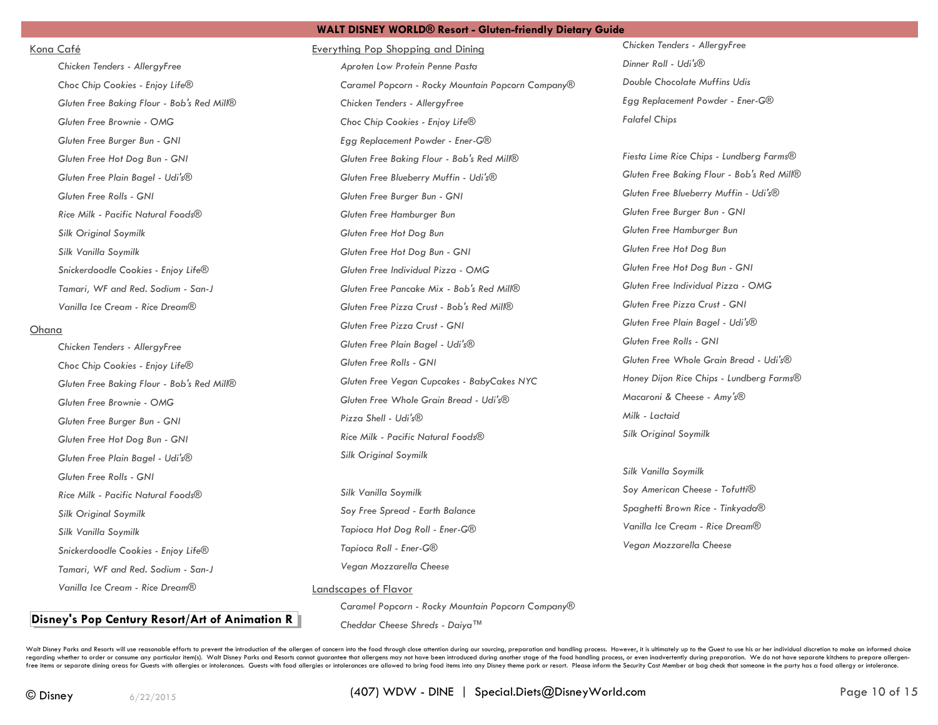### Kona Café

*Chicken Tenders - AllergyFree Choc Chip Cookies - Enjoy Life® Gluten Free Baking Flour - Bob's Red Mill® Gluten Free Brownie - OMG Gluten Free Burger Bun - GNI Gluten Free Hot Dog Bun - GNI Gluten Free Plain Bagel - Udi's® Gluten Free Rolls - GNI Rice Milk - Pacific Natural Foods® Silk Original Soymilk Silk Vanilla Soymilk Snickerdoodle Cookies - Enjoy Life® Tamari, WF and Red. Sodium - San-J Vanilla Ice Cream - Rice Dream®*

# Ohana

*Chicken Tenders - AllergyFree Choc Chip Cookies - Enjoy Life® Gluten Free Baking Flour - Bob's Red Mill® Gluten Free Brownie - OMG Gluten Free Burger Bun - GNI Gluten Free Hot Dog Bun - GNI Gluten Free Plain Bagel - Udi's® Gluten Free Rolls - GNI Rice Milk - Pacific Natural Foods® Silk Original Soymilk Silk Vanilla Soymilk Snickerdoodle Cookies - Enjoy Life® Tamari, WF and Red. Sodium - San-J Vanilla Ice Cream - Rice Dream®*

# **Disney's Pop Century Resort/Art of Animation R**

Everything Pop Shopping and Dining *Aproten Low Protein Penne Pasta Caramel Popcorn - Rocky Mountain Popcorn Company® Chicken Tenders - AllergyFree Choc Chip Cookies - Enjoy Life® Egg Replacement Powder - Ener-G® Gluten Free Baking Flour - Bob's Red Mill® Gluten Free Blueberry Muffin - Udi's® Gluten Free Burger Bun - GNI Gluten Free Hamburger Bun Gluten Free Hot Dog Bun Gluten Free Hot Dog Bun - GNI Gluten Free Individual Pizza - OMG Gluten Free Pancake Mix - Bob's Red Mill® Gluten Free Pizza Crust - Bob's Red Mill® Gluten Free Pizza Crust - GNI Gluten Free Plain Bagel - Udi's® Gluten Free Rolls - GNI Gluten Free Vegan Cupcakes - BabyCakes NYC Gluten Free Whole Grain Bread - Udi's® Pizza Shell - Udi's® Rice Milk - Pacific Natural Foods®*

**WALT DISNEY WORLD® Resort - Gluten-friendly Dietary Guide**

*Silk Vanilla Soymilk Soy Free Spread - Earth Balance Tapioca Hot Dog Roll - Ener-G® Tapioca Roll - Ener-G® Vegan Mozzarella Cheese*

*Silk Original Soymilk*

Landscapes of Flavor

*Caramel Popcorn - Rocky Mountain Popcorn Company® Cheddar Cheese Shreds - Daiya™*

*Chicken Tenders - AllergyFree Dinner Roll - Udi's® Double Chocolate Muffins Udis Egg Replacement Powder - Ener-G® Falafel Chips*

*Fiesta Lime Rice Chips - Lundberg Farms® Gluten Free Baking Flour - Bob's Red Mill® Gluten Free Blueberry Muffin - Udi's® Gluten Free Burger Bun - GNI Gluten Free Hamburger Bun Gluten Free Hot Dog Bun Gluten Free Hot Dog Bun - GNI Gluten Free Individual Pizza - OMG Gluten Free Pizza Crust - GNI Gluten Free Plain Bagel - Udi's® Gluten Free Rolls - GNI Gluten Free Whole Grain Bread - Udi's® Honey Dijon Rice Chips - Lundberg Farms® Macaroni & Cheese - Amy's® Milk - Lactaid Silk Original Soymilk*

*Silk Vanilla Soymilk Soy American Cheese - Tofutti® Spaghetti Brown Rice - Tinkyada® Vanilla Ice Cream - Rice Dream® Vegan Mozzarella Cheese*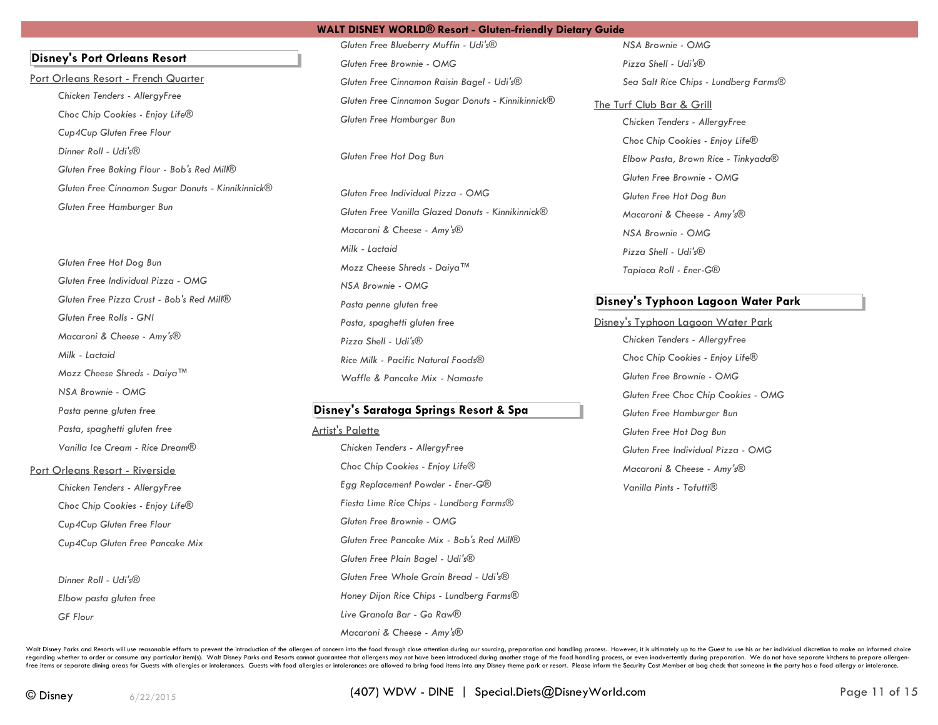**Disney's Port Orleans Resort**

Port Orleans Resort - French Quarter *Chicken Tenders - AllergyFree Choc Chip Cookies - Enjoy Life® Cup4Cup Gluten Free Flour Dinner Roll - Udi's® Gluten Free Baking Flour - Bob's Red Mill® Gluten Free Cinnamon Sugar Donuts - Kinnikinnick® Gluten Free Hamburger Bun*

> *Gluten Free Hot Dog Bun Gluten Free Individual Pizza - OMG Gluten Free Pizza Crust - Bob's Red Mill® Gluten Free Rolls - GNI Macaroni & Cheese - Amy's® Milk - Lactaid Mozz Cheese Shreds - Daiya™ NSA Brownie - OMG Pasta penne gluten free Pasta, spaghetti gluten free Vanilla Ice Cream - Rice Dream®*

### Port Orleans Resort - Riverside

*Chicken Tenders - AllergyFree Choc Chip Cookies - Enjoy Life® Cup4Cup Gluten Free Flour Cup4Cup Gluten Free Pancake Mix*

*Dinner Roll - Udi's® Elbow pasta gluten free GF Flour*

*Gluten Free Blueberry Muffin - Udi's® Gluten Free Brownie - OMG Gluten Free Cinnamon Raisin Bagel - Udi's® Gluten Free Cinnamon Sugar Donuts - Kinnikinnick® Gluten Free Hamburger Bun*

*Gluten Free Hot Dog Bun*

*Gluten Free Individual Pizza - OMG Gluten Free Vanilla Glazed Donuts - Kinnikinnick® Macaroni & Cheese - Amy's® Milk - Lactaid Mozz Cheese Shreds - Daiya™ NSA Brownie - OMG Pasta penne gluten free Pasta, spaghetti gluten free Pizza Shell - Udi's® Rice Milk - Pacific Natural Foods® Waffle & Pancake Mix - Namaste*

# **Disney's Saratoga Springs Resort & Spa**

# Artist's Palette

*Chicken Tenders - AllergyFree Choc Chip Cookies - Enjoy Life® Egg Replacement Powder - Ener-G® Fiesta Lime Rice Chips - Lundberg Farms® Gluten Free Brownie - OMG Gluten Free Pancake Mix - Bob's Red Mill® Gluten Free Plain Bagel - Udi's® Gluten Free Whole Grain Bread - Udi's® Honey Dijon Rice Chips - Lundberg Farms® Live Granola Bar - Go Raw® Macaroni & Cheese - Amy's®*

*NSA Brownie - OMG Pizza Shell - Udi's® Sea Salt Rice Chips - Lundberg Farms®*

The Turf Club Bar & Grill *Chicken Tenders - AllergyFree Choc Chip Cookies - Enjoy Life® Elbow Pasta, Brown Rice - Tinkyada® Gluten Free Brownie - OMG Gluten Free Hot Dog Bun Macaroni & Cheese - Amy's® NSA Brownie - OMG Pizza Shell - Udi's® Tapioca Roll - Ener-G®*

# **Disney's Typhoon Lagoon Water Park**

Disney's Typhoon Lagoon Water Park *Chicken Tenders - AllergyFree Choc Chip Cookies - Enjoy Life® Gluten Free Brownie - OMG Gluten Free Choc Chip Cookies - OMG Gluten Free Hamburger Bun Gluten Free Hot Dog Bun Gluten Free Individual Pizza - OMG Macaroni & Cheese - Amy's® Vanilla Pints - Tofutti®*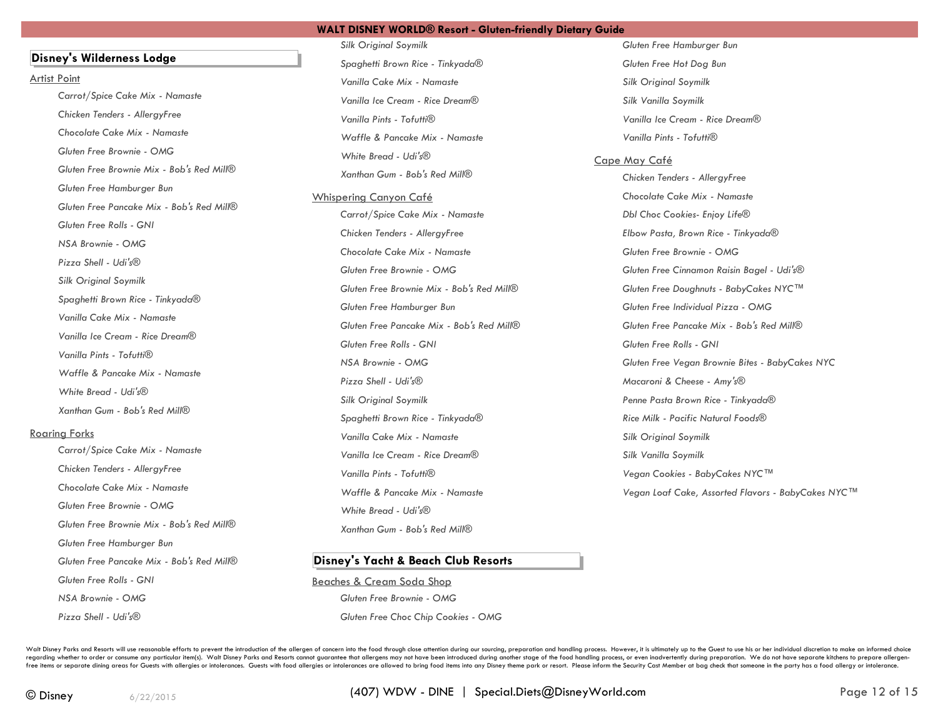# **Disney's Wilderness Lodge**

#### Artist Point

*Carrot/Spice Cake Mix - Namaste Chicken Tenders - AllergyFree Chocolate Cake Mix - Namaste Gluten Free Brownie - OMG Gluten Free Brownie Mix - Bob's Red Mill® Gluten Free Hamburger Bun Gluten Free Pancake Mix - Bob's Red Mill® Gluten Free Rolls - GNI NSA Brownie - OMG Pizza Shell - Udi's® Silk Original Soymilk Spaghetti Brown Rice - Tinkyada® Vanilla Cake Mix - Namaste Vanilla Ice Cream - Rice Dream® Vanilla Pints - Tofutti® Waffle & Pancake Mix - Namaste White Bread - Udi's® Xanthan Gum - Bob's Red Mill®*

### Roaring Forks

*Carrot/Spice Cake Mix - Namaste Chicken Tenders - AllergyFree Chocolate Cake Mix - Namaste Gluten Free Brownie - OMG Gluten Free Brownie Mix - Bob's Red Mill® Gluten Free Hamburger Bun Gluten Free Pancake Mix - Bob's Red Mill® Gluten Free Rolls - GNI NSA Brownie - OMG Pizza Shell - Udi's®*

*Silk Original Soymilk Spaghetti Brown Rice - Tinkyada® Vanilla Cake Mix - Namaste Vanilla Ice Cream - Rice Dream® Vanilla Pints - Tofutti® Waffle & Pancake Mix - Namaste White Bread - Udi's® Xanthan Gum - Bob's Red Mill®*

Whispering Canyon Café *Carrot/Spice Cake Mix - Namaste Chicken Tenders - AllergyFree Chocolate Cake Mix - Namaste Gluten Free Brownie - OMG Gluten Free Brownie Mix - Bob's Red Mill® Gluten Free Hamburger Bun Gluten Free Pancake Mix - Bob's Red Mill® Gluten Free Rolls - GNI NSA Brownie - OMG Pizza Shell - Udi's® Silk Original Soymilk Spaghetti Brown Rice - Tinkyada® Vanilla Cake Mix - Namaste Vanilla Ice Cream - Rice Dream® Vanilla Pints - Tofutti® Waffle & Pancake Mix - Namaste White Bread - Udi's® Xanthan Gum - Bob's Red Mill®*

# **Disney's Yacht & Beach Club Resorts**

Beaches & Cream Soda Shop *Gluten Free Brownie - OMG Gluten Free Choc Chip Cookies - OMG* *Gluten Free Hamburger Bun Gluten Free Hot Dog Bun Silk Original Soymilk Silk Vanilla Soymilk Vanilla Ice Cream - Rice Dream® Vanilla Pints - Tofutti®*

# Cape May Café

*Chicken Tenders - AllergyFree Chocolate Cake Mix - Namaste Dbl Choc Cookies- Enjoy Life® Elbow Pasta, Brown Rice - Tinkyada® Gluten Free Brownie - OMG Gluten Free Cinnamon Raisin Bagel - Udi's® Gluten Free Doughnuts - BabyCakes NYC™ Gluten Free Individual Pizza - OMG Gluten Free Pancake Mix - Bob's Red Mill® Gluten Free Rolls - GNI Gluten Free Vegan Brownie Bites - BabyCakes NYC Macaroni & Cheese - Amy's® Penne Pasta Brown Rice - Tinkyada® Rice Milk - Pacific Natural Foods® Silk Original Soymilk Silk Vanilla Soymilk Vegan Cookies - BabyCakes NYC™ Vegan Loaf Cake, Assorted Flavors - BabyCakes NYC™*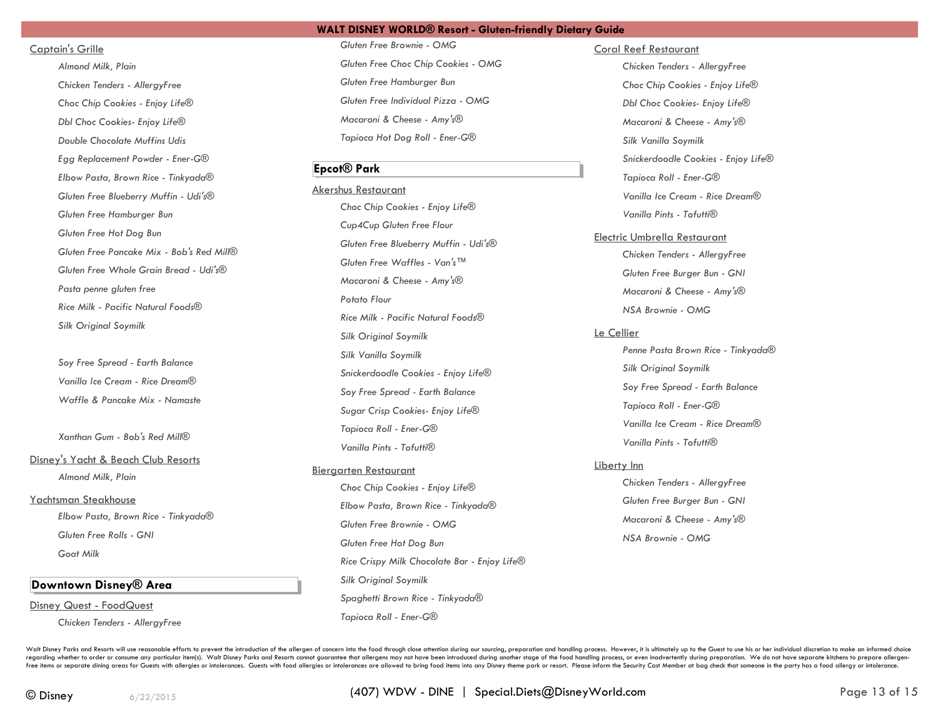# Captain's Grille

*Almond Milk, Plain Chicken Tenders - AllergyFree Choc Chip Cookies - Enjoy Life® Dbl Choc Cookies- Enjoy Life® Double Chocolate Muffins Udis Egg Replacement Powder - Ener-G® Elbow Pasta, Brown Rice - Tinkyada® Gluten Free Blueberry Muffin - Udi's® Gluten Free Hamburger Bun Gluten Free Hot Dog Bun Gluten Free Pancake Mix - Bob's Red Mill® Gluten Free Whole Grain Bread - Udi's® Pasta penne gluten free Rice Milk - Pacific Natural Foods® Silk Original Soymilk*

*Soy Free Spread - Earth Balance Vanilla Ice Cream - Rice Dream® Waffle & Pancake Mix - Namaste*

*Xanthan Gum - Bob's Red Mill®*

Disney's Yacht & Beach Club Resorts *Almond Milk, Plain*

Yachtsman Steakhouse

*Elbow Pasta, Brown Rice - Tinkyada® Gluten Free Rolls - GNI Goat Milk*

# **Downtown Disney® Area**

Disney Quest - FoodQuest

*Chicken Tenders - AllergyFree*

*Gluten Free Brownie - OMG Gluten Free Choc Chip Cookies - OMG Gluten Free Hamburger Bun Gluten Free Individual Pizza - OMG Macaroni & Cheese - Amy's® Tapioca Hot Dog Roll - Ener-G®*

# **Epcot® Park**

Akershus Restaurant *Choc Chip Cookies - Enjoy Life® Cup4Cup Gluten Free Flour Gluten Free Blueberry Muffin - Udi's® Gluten Free Waffles - Van's™ Macaroni & Cheese - Amy's® Potato Flour Rice Milk - Pacific Natural Foods® Silk Original Soymilk Silk Vanilla Soymilk Snickerdoodle Cookies - Enjoy Life® Soy Free Spread - Earth Balance Sugar Crisp Cookies- Enjoy Life® Tapioca Roll - Ener-G® Vanilla Pints - Tofutti®*

### Biergarten Restaurant

*Choc Chip Cookies - Enjoy Life® Elbow Pasta, Brown Rice - Tinkyada® Gluten Free Brownie - OMG Gluten Free Hot Dog Bun Rice Crispy Milk Chocolate Bar - Enjoy Life® Silk Original Soymilk Spaghetti Brown Rice - Tinkyada® Tapioca Roll - Ener-G®*

Coral Reef Restaurant

*Chicken Tenders - AllergyFree Choc Chip Cookies - Enjoy Life® Dbl Choc Cookies- Enjoy Life® Macaroni & Cheese - Amy's® Silk Vanilla Soymilk Snickerdoodle Cookies - Enjoy Life® Tapioca Roll - Ener-G® Vanilla Ice Cream - Rice Dream® Vanilla Pints - Tofutti®*

# Electric Umbrella Restaurant

*Chicken Tenders - AllergyFree Gluten Free Burger Bun - GNI Macaroni & Cheese - Amy's® NSA Brownie - OMG*

### Le Cellier

*Penne Pasta Brown Rice - Tinkyada® Silk Original Soymilk Soy Free Spread - Earth Balance Tapioca Roll - Ener-G® Vanilla Ice Cream - Rice Dream® Vanilla Pints - Tofutti®*

### Liberty Inn

*Chicken Tenders - AllergyFree Gluten Free Burger Bun - GNI Macaroni & Cheese - Amy's® NSA Brownie - OMG*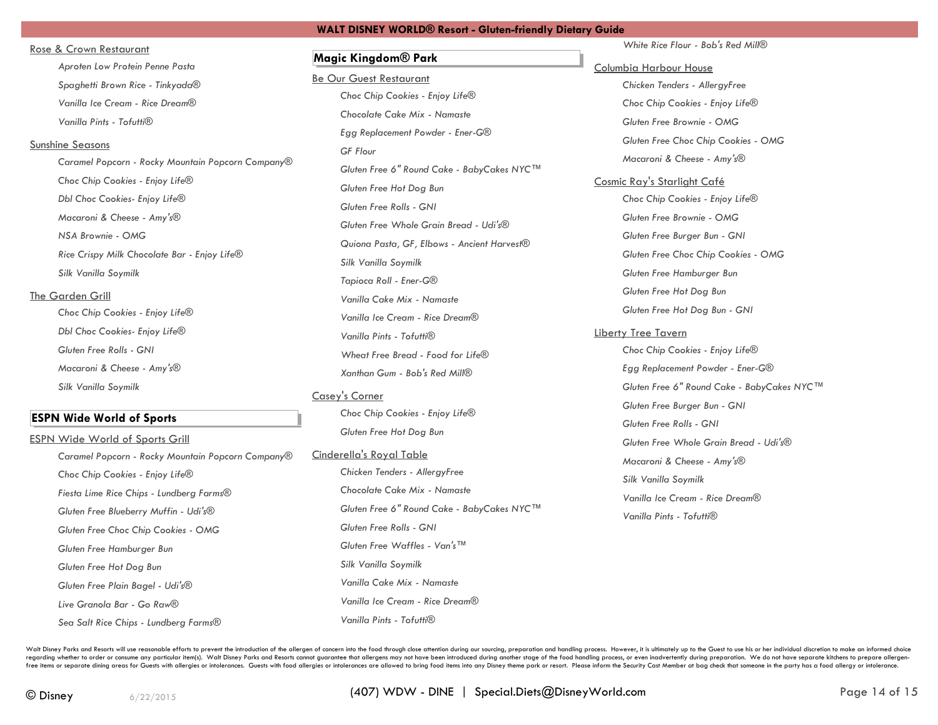### Rose & Crown Restaurant

*Aproten Low Protein Penne Pasta Spaghetti Brown Rice - Tinkyada® Vanilla Ice Cream - Rice Dream® Vanilla Pints - Tofutti®*

### Sunshine Seasons

*Caramel Popcorn - Rocky Mountain Popcorn Company® Choc Chip Cookies - Enjoy Life® Dbl Choc Cookies- Enjoy Life® Macaroni & Cheese - Amy's® NSA Brownie - OMG Rice Crispy Milk Chocolate Bar - Enjoy Life® Silk Vanilla Soymilk*

### The Garden Grill

*Choc Chip Cookies - Enjoy Life® Dbl Choc Cookies- Enjoy Life® Gluten Free Rolls - GNI Macaroni & Cheese - Amy's® Silk Vanilla Soymilk*

# **ESPN Wide World of Sports**

ESPN Wide World of Sports Grill *Caramel Popcorn - Rocky Mountain Popcorn Company® Choc Chip Cookies - Enjoy Life® Fiesta Lime Rice Chips - Lundberg Farms® Gluten Free Blueberry Muffin - Udi's® Gluten Free Choc Chip Cookies - OMG Gluten Free Hamburger Bun Gluten Free Hot Dog Bun Gluten Free Plain Bagel - Udi's® Live Granola Bar - Go Raw®*

*Sea Salt Rice Chips - Lundberg Farms®*

# **Magic Kingdom® Park**

Be Our Guest Restaurant *Choc Chip Cookies - Enjoy Life® Chocolate Cake Mix - Namaste Egg Replacement Powder - Ener-G® GF Flour Gluten Free 6" Round Cake - BabyCakes NYC™ Gluten Free Hot Dog Bun Gluten Free Rolls - GNI Gluten Free Whole Grain Bread - Udi's® Quiona Pasta, GF, Elbows - Ancient Harvest® Silk Vanilla Soymilk Tapioca Roll - Ener-G® Vanilla Cake Mix - Namaste Vanilla Ice Cream - Rice Dream® Vanilla Pints - Tofutti® Wheat Free Bread - Food for Life® Xanthan Gum - Bob's Red Mill®*

# Casey's Corner

*Choc Chip Cookies - Enjoy Life® Gluten Free Hot Dog Bun*

Cinderella's Royal Table *Chicken Tenders - AllergyFree*

*Chocolate Cake Mix - Namaste Gluten Free 6" Round Cake - BabyCakes NYC™ Gluten Free Rolls - GNI Gluten Free Waffles - Van's™ Silk Vanilla Soymilk Vanilla Cake Mix - Namaste Vanilla Ice Cream - Rice Dream® Vanilla Pints - Tofutti®*

*White Rice Flour - Bob's Red Mill®*

# Columbia Harbour House

*Chicken Tenders - AllergyFree Choc Chip Cookies - Enjoy Life® Gluten Free Brownie - OMG Gluten Free Choc Chip Cookies - OMG Macaroni & Cheese - Amy's®*

Cosmic Ray's Starlight Café *Choc Chip Cookies - Enjoy Life® Gluten Free Brownie - OMG Gluten Free Burger Bun - GNI Gluten Free Choc Chip Cookies - OMG Gluten Free Hamburger Bun Gluten Free Hot Dog Bun Gluten Free Hot Dog Bun - GNI*

### Liberty Tree Tavern

*Choc Chip Cookies - Enjoy Life® Egg Replacement Powder - Ener-G® Gluten Free 6" Round Cake - BabyCakes NYC™ Gluten Free Burger Bun - GNI Gluten Free Rolls - GNI Gluten Free Whole Grain Bread - Udi's® Macaroni & Cheese - Amy's® Silk Vanilla Soymilk Vanilla Ice Cream - Rice Dream® Vanilla Pints - Tofutti®*